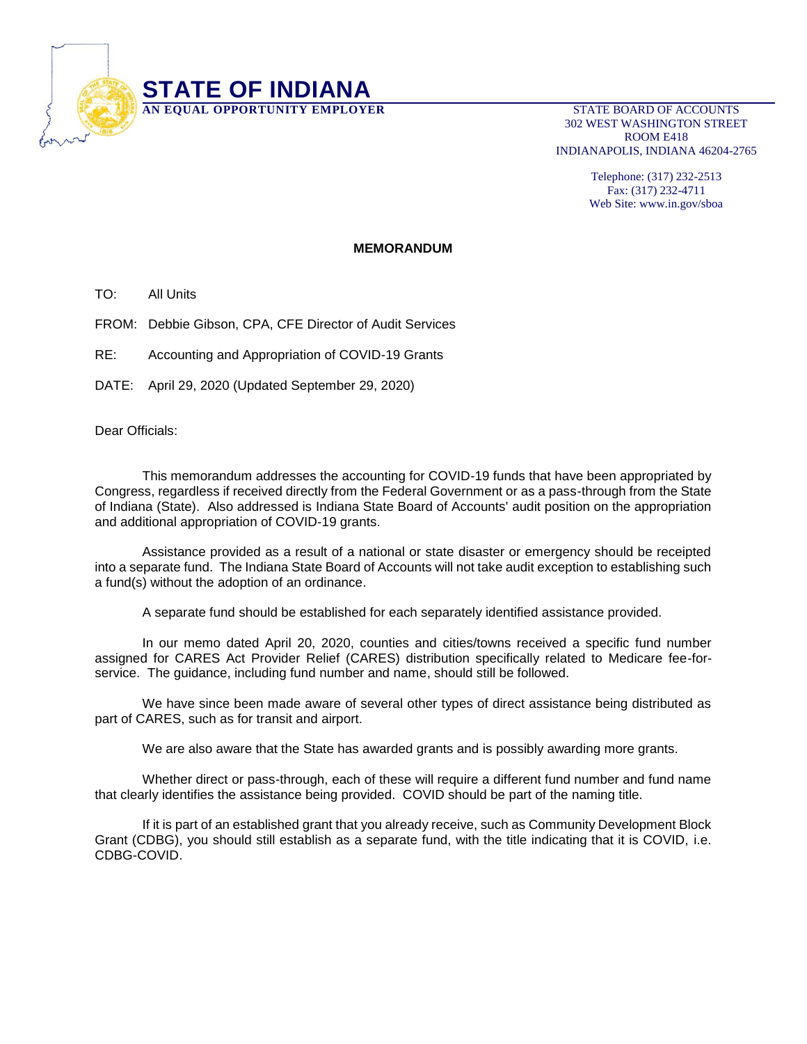

302 WEST WASHINGTON STREET ROOM E418 INDIANAPOLIS, INDIANA 46204-2765

> Telephone: (317) 232-2513 Fax: (317) 232-4711 Web Site: www.in.gov/sboa

## **MEMORANDUM**

TO: All Units

FROM: Debbie Gibson, CPA, CFE Director of Audit Services

RE: Accounting and Appropriation of COVID-19 Grants

DATE: April 29, 2020 (Updated September 29, 2020)

Dear Officials:

This memorandum addresses the accounting for COVID-19 funds that have been appropriated by Congress, regardless if received directly from the Federal Government or as a pass-through from the State of Indiana (State). Also addressed is Indiana State Board of Accounts' audit position on the appropriation and additional appropriation of COVID-19 grants.

Assistance provided as a result of a national or state disaster or emergency should be receipted into a separate fund. The Indiana State Board of Accounts will not take audit exception to establishing such a fund(s) without the adoption of an ordinance.

A separate fund should be established for each separately identified assistance provided.

In our memo dated April 20, 2020, counties and cities/towns received a specific fund number assigned for CARES Act Provider Relief (CARES) distribution specifically related to Medicare fee-forservice. The guidance, including fund number and name, should still be followed.

We have since been made aware of several other types of direct assistance being distributed as part of CARES, such as for transit and airport.

We are also aware that the State has awarded grants and is possibly awarding more grants.

Whether direct or pass-through, each of these will require a different fund number and fund name that clearly identifies the assistance being provided. COVID should be part of the naming title.

If it is part of an established grant that you already receive, such as Community Development Block Grant (CDBG), you should still establish as a separate fund, with the title indicating that it is COVID, i.e. CDBG-COVID.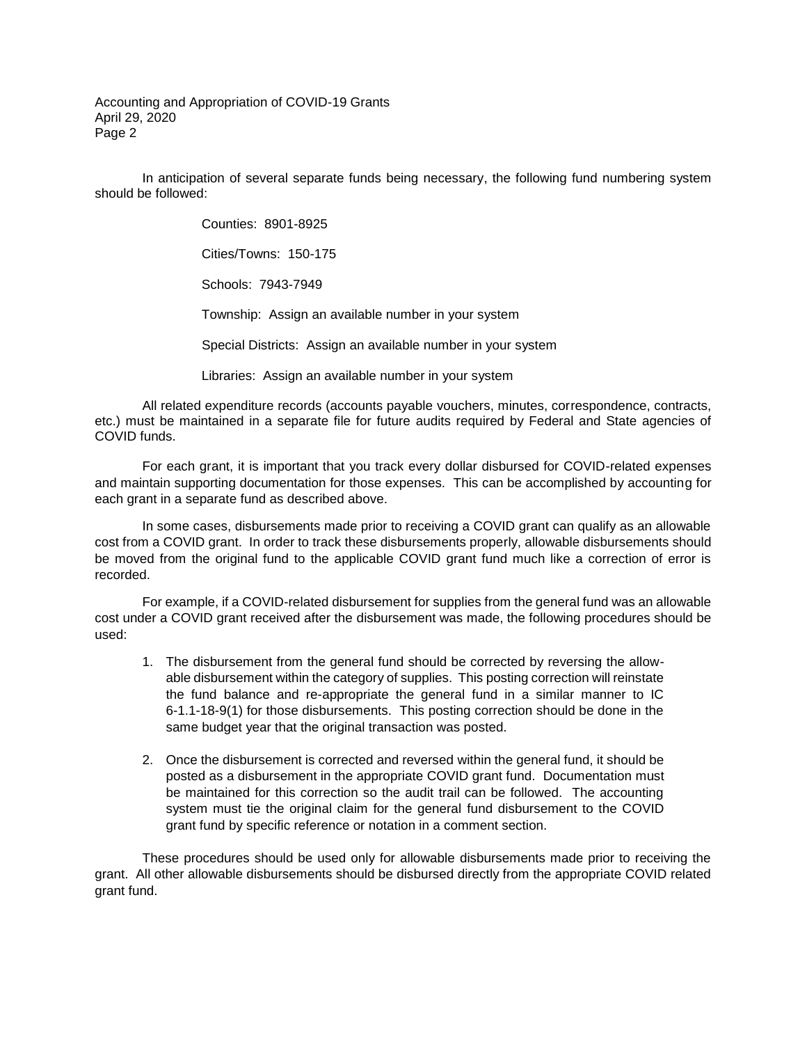Accounting and Appropriation of COVID-19 Grants April 29, 2020 Page 2

In anticipation of several separate funds being necessary, the following fund numbering system should be followed:

> Counties: 8901-8925 Cities/Towns: 150-175 Schools: 7943-7949 Township: Assign an available number in your system Special Districts: Assign an available number in your system Libraries: Assign an available number in your system

All related expenditure records (accounts payable vouchers, minutes, correspondence, contracts, etc.) must be maintained in a separate file for future audits required by Federal and State agencies of COVID funds.

For each grant, it is important that you track every dollar disbursed for COVID-related expenses and maintain supporting documentation for those expenses. This can be accomplished by accounting for each grant in a separate fund as described above.

In some cases, disbursements made prior to receiving a COVID grant can qualify as an allowable cost from a COVID grant. In order to track these disbursements properly, allowable disbursements should be moved from the original fund to the applicable COVID grant fund much like a correction of error is recorded.

For example, if a COVID-related disbursement for supplies from the general fund was an allowable cost under a COVID grant received after the disbursement was made, the following procedures should be used:

- 1. The disbursement from the general fund should be corrected by reversing the allowable disbursement within the category of supplies. This posting correction will reinstate the fund balance and re-appropriate the general fund in a similar manner to IC 6-1.1-18-9(1) for those disbursements. This posting correction should be done in the same budget year that the original transaction was posted.
- 2. Once the disbursement is corrected and reversed within the general fund, it should be posted as a disbursement in the appropriate COVID grant fund. Documentation must be maintained for this correction so the audit trail can be followed. The accounting system must tie the original claim for the general fund disbursement to the COVID grant fund by specific reference or notation in a comment section.

These procedures should be used only for allowable disbursements made prior to receiving the grant. All other allowable disbursements should be disbursed directly from the appropriate COVID related grant fund.